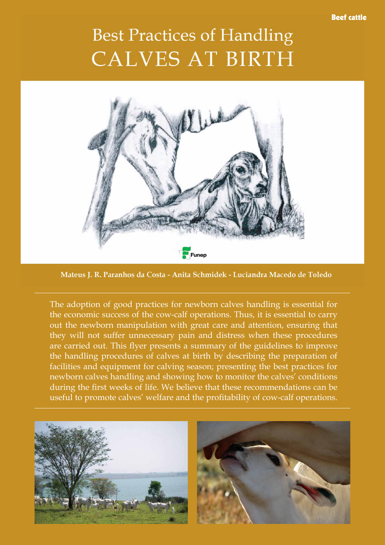## **Best Practices of Handling CALVES AT BIRTH**



Mateus J. R. Paranhos da Costa - Anita Schmidek - Luciandra Macedo de Toledo

The adoption of good practices for newborn calves handling is essential for the economic success of the cow-calf operations. Thus, it is essential to carry out the newborn manipulation with great care and attention, ensuring that they will not suffer unnecessary pain and distress when these procedures are carried out. This flyer presents a summary of the guidelines to improve the handling procedures of calves at birth by describing the preparation of facilities and equipment for calving season; presenting the best practices for newborn calves handling and showing how to monitor the calves' conditions during the first weeks of life. We believe that these recommendations can be useful to promote calves' welfare and the profitability of cow-calf operations.